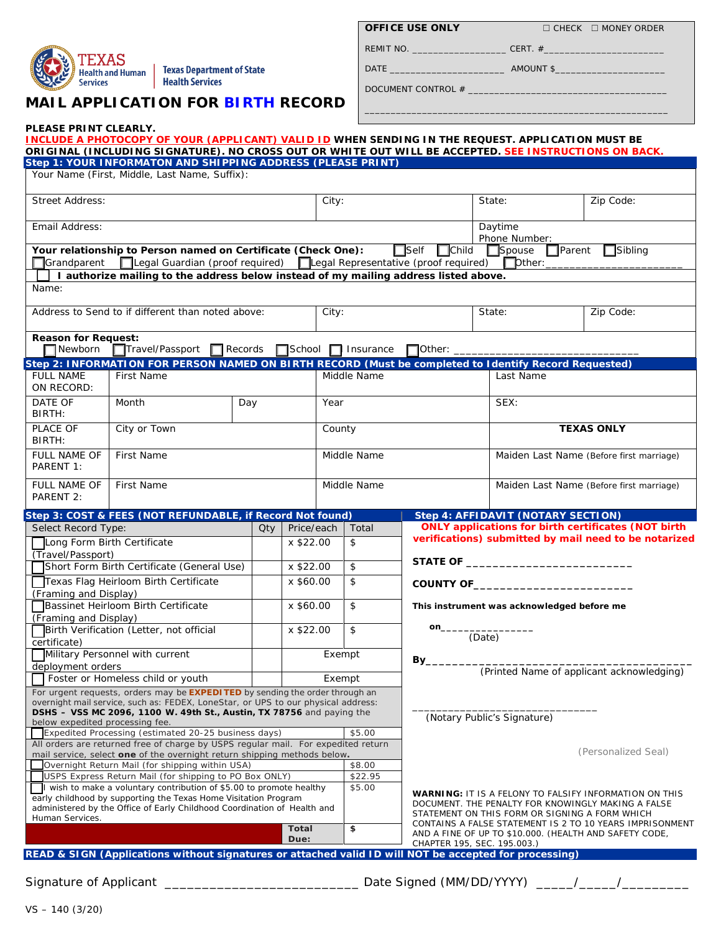

**PLEASE PRINT CLEARLY.** 

Texas Department of State Health Services

# **MAIL APPLICATION FOR BIRTH RECORD**

|  |  | OFFICE USE ONLY |
|--|--|-----------------|
|  |  |                 |

**OFFICE USE ONLY** ☐ CHECK ☐ MONEY ORDER

DATE \_\_\_\_\_\_\_\_\_\_\_\_\_\_\_\_\_\_\_\_\_\_ AMOUNT \$\_\_\_\_\_\_\_\_\_\_\_\_\_\_\_\_\_\_\_\_\_

DOCUMENT CONTROL #

REMIT NO. \_\_\_\_\_\_\_\_\_\_\_\_\_\_\_\_\_\_ CERT. #\_\_\_\_\_\_\_\_\_\_\_\_\_\_\_\_\_\_\_\_\_\_\_

\_\_\_\_\_\_\_\_\_\_\_\_\_\_\_\_\_\_\_\_\_\_\_\_\_\_\_\_\_\_\_\_\_\_\_\_\_\_\_\_\_\_\_\_\_\_\_\_\_\_\_\_\_\_\_\_\_\_

|                                                                                                                                                              | Step 1: YOUR INFORMATON AND SHIPPING ADDRESS (PLEASE PRINT)                                                                                                                                                          |  |           |               |             |        |                                                                                                                                                   | ORIGINAL (INCLUDING SIGNATURE). NO CROSS OUT OR WHITE OUT WILL BE ACCEPTED. SEE INSTRUCTIONS ON BACK. |                                                                                                                                                                       |  |  |
|--------------------------------------------------------------------------------------------------------------------------------------------------------------|----------------------------------------------------------------------------------------------------------------------------------------------------------------------------------------------------------------------|--|-----------|---------------|-------------|--------|---------------------------------------------------------------------------------------------------------------------------------------------------|-------------------------------------------------------------------------------------------------------|-----------------------------------------------------------------------------------------------------------------------------------------------------------------------|--|--|
|                                                                                                                                                              | Your Name (First, Middle, Last Name, Suffix):                                                                                                                                                                        |  |           |               |             |        |                                                                                                                                                   |                                                                                                       |                                                                                                                                                                       |  |  |
| <b>Street Address:</b>                                                                                                                                       |                                                                                                                                                                                                                      |  |           |               | City:       |        |                                                                                                                                                   | State:                                                                                                | Zip Code:                                                                                                                                                             |  |  |
| Email Address:                                                                                                                                               |                                                                                                                                                                                                                      |  |           |               |             |        |                                                                                                                                                   | Daytime<br>Phone Number:                                                                              |                                                                                                                                                                       |  |  |
| <b>□</b> Grandparent                                                                                                                                         | Your relationship to Person named on Certificate (Check One):<br>□Legal Guardian (proof required) □Legal Representative (proof required)                                                                             |  |           |               |             |        | $\Box$ Child<br>$\Box$ Self                                                                                                                       | $\Box$ Spouse<br>$\Box$ Dther:                                                                        | $\Box$ Parent<br>$\Box$ Sibling                                                                                                                                       |  |  |
| Name:                                                                                                                                                        | I authorize mailing to the address below instead of my mailing address listed above.                                                                                                                                 |  |           |               |             |        |                                                                                                                                                   |                                                                                                       |                                                                                                                                                                       |  |  |
| Address to Send to if different than noted above:                                                                                                            |                                                                                                                                                                                                                      |  |           |               | City:       |        |                                                                                                                                                   | State:                                                                                                | Zip Code:                                                                                                                                                             |  |  |
| <b>Reason for Request:</b><br>$\Box$ Newborn                                                                                                                 | Travel/Passport Records School Insurance                                                                                                                                                                             |  |           |               |             |        | $\Box$ Other:                                                                                                                                     |                                                                                                       |                                                                                                                                                                       |  |  |
| Step 2: INFORMATION FOR PERSON NAMED ON BIRTH RECORD (Must be completed to Identify Record Requested)<br><b>FULL NAME</b><br><b>First Name</b><br>ON RECORD: |                                                                                                                                                                                                                      |  |           |               | Middle Name |        |                                                                                                                                                   | Last Name                                                                                             |                                                                                                                                                                       |  |  |
| DATE OF<br>BIRTH:                                                                                                                                            | Month<br>Day                                                                                                                                                                                                         |  |           |               | Year        |        |                                                                                                                                                   | SEX:                                                                                                  |                                                                                                                                                                       |  |  |
| <b>PLACE OF</b><br>BIRTH:                                                                                                                                    | City or Town                                                                                                                                                                                                         |  |           |               | County      |        |                                                                                                                                                   | <b>TEXAS ONLY</b>                                                                                     |                                                                                                                                                                       |  |  |
| <b>FULL NAME OF</b><br>PARENT 1:                                                                                                                             | <b>First Name</b>                                                                                                                                                                                                    |  |           |               | Middle Name |        |                                                                                                                                                   | Maiden Last Name (Before first marriage)                                                              |                                                                                                                                                                       |  |  |
| FULL NAME OF<br>First Name<br>PARENT 2:                                                                                                                      |                                                                                                                                                                                                                      |  |           |               | Middle Name |        |                                                                                                                                                   | Maiden Last Name (Before first marriage)                                                              |                                                                                                                                                                       |  |  |
|                                                                                                                                                              | Step 3: COST & FEES (NOT REFUNDABLE, if Record Not found)                                                                                                                                                            |  |           |               |             |        |                                                                                                                                                   | Step 4: AFFIDAVIT (NOTARY SECTION)                                                                    |                                                                                                                                                                       |  |  |
| Select Record Type:                                                                                                                                          |                                                                                                                                                                                                                      |  | Qty       | Price/each    |             | Total  |                                                                                                                                                   |                                                                                                       | <b>ONLY applications for birth certificates (NOT birth</b><br>verifications) submitted by mail need to be notarized                                                   |  |  |
| Long Form Birth Certificate<br>(Travel/Passport)                                                                                                             |                                                                                                                                                                                                                      |  |           | x \$22.00     |             | \$     |                                                                                                                                                   |                                                                                                       |                                                                                                                                                                       |  |  |
|                                                                                                                                                              | Short Form Birth Certificate (General Use)                                                                                                                                                                           |  |           | x \$22.00     |             | \$     |                                                                                                                                                   | STATE OF                                                                                              |                                                                                                                                                                       |  |  |
| Texas Flag Heirloom Birth Certificate                                                                                                                        |                                                                                                                                                                                                                      |  | x \$60.00 |               | \$          |        |                                                                                                                                                   |                                                                                                       |                                                                                                                                                                       |  |  |
| (Framing and Display)                                                                                                                                        |                                                                                                                                                                                                                      |  |           |               |             |        | COUNTY OF <b>Example 2012</b>                                                                                                                     |                                                                                                       |                                                                                                                                                                       |  |  |
| Bassinet Heirloom Birth Certificate                                                                                                                          |                                                                                                                                                                                                                      |  | x \$60.00 |               |             | \$     |                                                                                                                                                   | This instrument was acknowledged before me                                                            |                                                                                                                                                                       |  |  |
| (Framing and Display)                                                                                                                                        |                                                                                                                                                                                                                      |  |           |               |             |        | on_                                                                                                                                               |                                                                                                       |                                                                                                                                                                       |  |  |
| Birth Verification (Letter, not official<br>certificate)                                                                                                     |                                                                                                                                                                                                                      |  |           | x \$22.00     |             | \$     | (Date)                                                                                                                                            |                                                                                                       |                                                                                                                                                                       |  |  |
| Military Personnel with current                                                                                                                              |                                                                                                                                                                                                                      |  |           | Exempt        |             |        | By                                                                                                                                                |                                                                                                       |                                                                                                                                                                       |  |  |
| deployment orders<br>Foster or Homeless child or youth                                                                                                       |                                                                                                                                                                                                                      |  |           |               | Exempt      |        | (Printed Name of applicant acknowledging)                                                                                                         |                                                                                                       |                                                                                                                                                                       |  |  |
|                                                                                                                                                              | For urgent requests, orders may be <b>EXPEDITED</b> by sending the order through an                                                                                                                                  |  |           |               |             |        |                                                                                                                                                   |                                                                                                       |                                                                                                                                                                       |  |  |
|                                                                                                                                                              | overnight mail service, such as: FEDEX, LoneStar, or UPS to our physical address:                                                                                                                                    |  |           |               |             |        |                                                                                                                                                   |                                                                                                       |                                                                                                                                                                       |  |  |
| below expedited processing fee.                                                                                                                              | DSHS - VSS MC 2096, 1100 W. 49th St., Austin, TX 78756 and paying the                                                                                                                                                |  |           |               |             |        |                                                                                                                                                   | (Notary Public's Signature)                                                                           |                                                                                                                                                                       |  |  |
|                                                                                                                                                              | Expedited Processing (estimated 20-25 business days)                                                                                                                                                                 |  |           |               |             | \$5.00 |                                                                                                                                                   |                                                                                                       |                                                                                                                                                                       |  |  |
|                                                                                                                                                              | All orders are returned free of charge by USPS regular mail. For expedited return                                                                                                                                    |  |           |               |             |        |                                                                                                                                                   |                                                                                                       | (Personalized Seal)                                                                                                                                                   |  |  |
|                                                                                                                                                              | mail service, select one of the overnight return shipping methods below.<br>Overnight Return Mail (for shipping within USA)                                                                                          |  |           |               |             | \$8.00 |                                                                                                                                                   |                                                                                                       |                                                                                                                                                                       |  |  |
| USPS Express Return Mail (for shipping to PO Box ONLY)<br>\$22.95                                                                                            |                                                                                                                                                                                                                      |  |           |               |             |        |                                                                                                                                                   |                                                                                                       |                                                                                                                                                                       |  |  |
| Human Services.                                                                                                                                              | If wish to make a voluntary contribution of \$5.00 to promote healthy<br>early childhood by supporting the Texas Home Visitation Program<br>administered by the Office of Early Childhood Coordination of Health and |  |           |               |             | \$5.00 |                                                                                                                                                   |                                                                                                       | <b>WARNING: IT IS A FELONY TO FALSIFY INFORMATION ON THIS</b><br>DOCUMENT. THE PENALTY FOR KNOWINGLY MAKING A FALSE<br>STATEMENT ON THIS FORM OR SIGNING A FORM WHICH |  |  |
|                                                                                                                                                              |                                                                                                                                                                                                                      |  |           | Total<br>Due: |             | \$     | CONTAINS A FALSE STATEMENT IS 2 TO 10 YEARS IMPRISONMENT<br>AND A FINE OF UP TO \$10.000. (HEALTH AND SAFETY CODE,<br>CHAPTER 195, SEC. 195.003.) |                                                                                                       |                                                                                                                                                                       |  |  |
|                                                                                                                                                              |                                                                                                                                                                                                                      |  |           |               |             |        |                                                                                                                                                   |                                                                                                       |                                                                                                                                                                       |  |  |